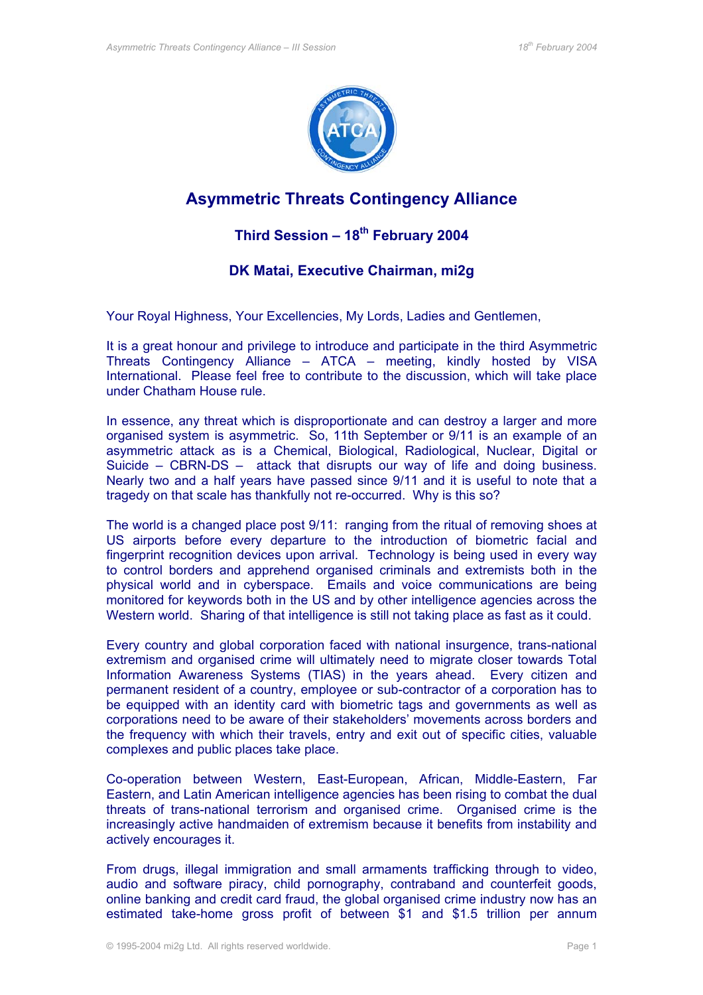

## **Asymmetric Threats Contingency Alliance**

## **Third Session – 18th February 2004**

## **DK Matai, Executive Chairman, mi2g**

Your Royal Highness, Your Excellencies, My Lords, Ladies and Gentlemen,

It is a great honour and privilege to introduce and participate in the third Asymmetric Threats Contingency Alliance – ATCA – meeting, kindly hosted by VISA International. Please feel free to contribute to the discussion, which will take place under Chatham House rule.

In essence, any threat which is disproportionate and can destroy a larger and more organised system is asymmetric. So, 11th September or 9/11 is an example of an asymmetric attack as is a Chemical, Biological, Radiological, Nuclear, Digital or Suicide – CBRN-DS – attack that disrupts our way of life and doing business. Nearly two and a half years have passed since 9/11 and it is useful to note that a tragedy on that scale has thankfully not re-occurred. Why is this so?

The world is a changed place post 9/11: ranging from the ritual of removing shoes at US airports before every departure to the introduction of biometric facial and fingerprint recognition devices upon arrival. Technology is being used in every way to control borders and apprehend organised criminals and extremists both in the physical world and in cyberspace. Emails and voice communications are being monitored for keywords both in the US and by other intelligence agencies across the Western world. Sharing of that intelligence is still not taking place as fast as it could.

Every country and global corporation faced with national insurgence, trans-national extremism and organised crime will ultimately need to migrate closer towards Total Information Awareness Systems (TIAS) in the years ahead. Every citizen and permanent resident of a country, employee or sub-contractor of a corporation has to be equipped with an identity card with biometric tags and governments as well as corporations need to be aware of their stakeholders' movements across borders and the frequency with which their travels, entry and exit out of specific cities, valuable complexes and public places take place.

Co-operation between Western, East-European, African, Middle-Eastern, Far Eastern, and Latin American intelligence agencies has been rising to combat the dual threats of trans-national terrorism and organised crime. Organised crime is the increasingly active handmaiden of extremism because it benefits from instability and actively encourages it.

From drugs, illegal immigration and small armaments trafficking through to video, audio and software piracy, child pornography, contraband and counterfeit goods, online banking and credit card fraud, the global organised crime industry now has an estimated take-home gross profit of between \$1 and \$1.5 trillion per annum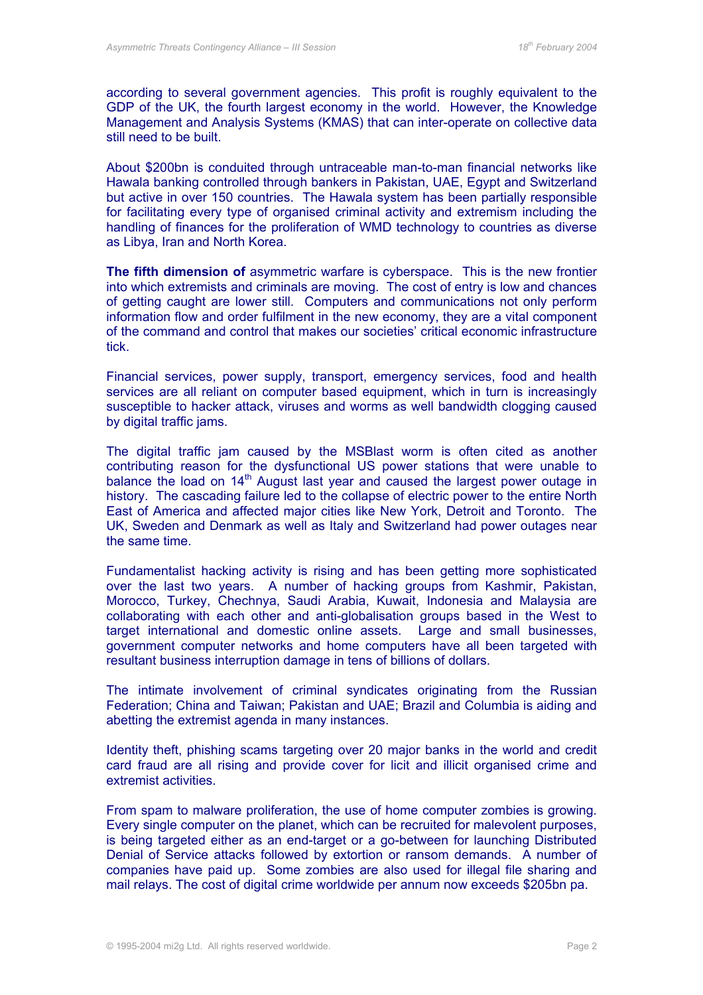according to several government agencies. This profit is roughly equivalent to the GDP of the UK, the fourth largest economy in the world. However, the Knowledge Management and Analysis Systems (KMAS) that can inter-operate on collective data still need to be built.

About \$200bn is conduited through untraceable man-to-man financial networks like Hawala banking controlled through bankers in Pakistan, UAE, Egypt and Switzerland but active in over 150 countries. The Hawala system has been partially responsible for facilitating every type of organised criminal activity and extremism including the handling of finances for the proliferation of WMD technology to countries as diverse as Libya, Iran and North Korea.

**The fifth dimension of** asymmetric warfare is cyberspace. This is the new frontier into which extremists and criminals are moving. The cost of entry is low and chances of getting caught are lower still. Computers and communications not only perform information flow and order fulfilment in the new economy, they are a vital component of the command and control that makes our societies' critical economic infrastructure tick.

Financial services, power supply, transport, emergency services, food and health services are all reliant on computer based equipment, which in turn is increasingly susceptible to hacker attack, viruses and worms as well bandwidth clogging caused by digital traffic jams.

The digital traffic jam caused by the MSBlast worm is often cited as another contributing reason for the dysfunctional US power stations that were unable to balance the load on  $14<sup>th</sup>$  August last year and caused the largest power outage in history. The cascading failure led to the collapse of electric power to the entire North East of America and affected major cities like New York, Detroit and Toronto. The UK, Sweden and Denmark as well as Italy and Switzerland had power outages near the same time.

Fundamentalist hacking activity is rising and has been getting more sophisticated over the last two years. A number of hacking groups from Kashmir, Pakistan, Morocco, Turkey, Chechnya, Saudi Arabia, Kuwait, Indonesia and Malaysia are collaborating with each other and anti-globalisation groups based in the West to target international and domestic online assets. Large and small businesses, government computer networks and home computers have all been targeted with resultant business interruption damage in tens of billions of dollars.

The intimate involvement of criminal syndicates originating from the Russian Federation; China and Taiwan; Pakistan and UAE; Brazil and Columbia is aiding and abetting the extremist agenda in many instances.

Identity theft, phishing scams targeting over 20 major banks in the world and credit card fraud are all rising and provide cover for licit and illicit organised crime and extremist activities.

From spam to malware proliferation, the use of home computer zombies is growing. Every single computer on the planet, which can be recruited for malevolent purposes, is being targeted either as an end-target or a go-between for launching Distributed Denial of Service attacks followed by extortion or ransom demands. A number of companies have paid up. Some zombies are also used for illegal file sharing and mail relays. The cost of digital crime worldwide per annum now exceeds \$205bn pa.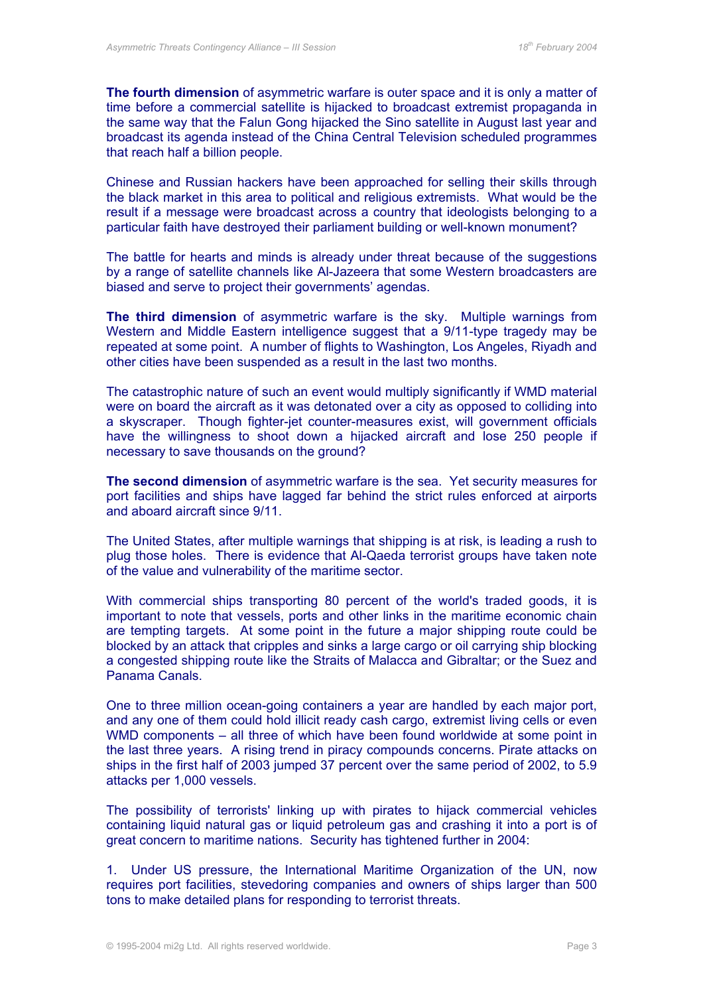**The fourth dimension** of asymmetric warfare is outer space and it is only a matter of time before a commercial satellite is hijacked to broadcast extremist propaganda in the same way that the Falun Gong hijacked the Sino satellite in August last year and broadcast its agenda instead of the China Central Television scheduled programmes that reach half a billion people.

Chinese and Russian hackers have been approached for selling their skills through the black market in this area to political and religious extremists. What would be the result if a message were broadcast across a country that ideologists belonging to a particular faith have destroyed their parliament building or well-known monument?

The battle for hearts and minds is already under threat because of the suggestions by a range of satellite channels like Al-Jazeera that some Western broadcasters are biased and serve to project their governments' agendas.

**The third dimension** of asymmetric warfare is the sky. Multiple warnings from Western and Middle Eastern intelligence suggest that a 9/11-type tragedy may be repeated at some point. A number of flights to Washington, Los Angeles, Riyadh and other cities have been suspended as a result in the last two months.

The catastrophic nature of such an event would multiply significantly if WMD material were on board the aircraft as it was detonated over a city as opposed to colliding into a skyscraper. Though fighter-jet counter-measures exist, will government officials have the willingness to shoot down a hijacked aircraft and lose 250 people if necessary to save thousands on the ground?

**The second dimension** of asymmetric warfare is the sea. Yet security measures for port facilities and ships have lagged far behind the strict rules enforced at airports and aboard aircraft since 9/11.

The United States, after multiple warnings that shipping is at risk, is leading a rush to plug those holes. There is evidence that Al-Qaeda terrorist groups have taken note of the value and vulnerability of the maritime sector.

With commercial ships transporting 80 percent of the world's traded goods, it is important to note that vessels, ports and other links in the maritime economic chain are tempting targets. At some point in the future a major shipping route could be blocked by an attack that cripples and sinks a large cargo or oil carrying ship blocking a congested shipping route like the Straits of Malacca and Gibraltar; or the Suez and Panama Canals.

One to three million ocean-going containers a year are handled by each major port, and any one of them could hold illicit ready cash cargo, extremist living cells or even WMD components – all three of which have been found worldwide at some point in the last three years. A rising trend in piracy compounds concerns. Pirate attacks on ships in the first half of 2003 jumped 37 percent over the same period of 2002, to 5.9 attacks per 1,000 vessels.

The possibility of terrorists' linking up with pirates to hijack commercial vehicles containing liquid natural gas or liquid petroleum gas and crashing it into a port is of great concern to maritime nations. Security has tightened further in 2004:

1. Under US pressure, the International Maritime Organization of the UN, now requires port facilities, stevedoring companies and owners of ships larger than 500 tons to make detailed plans for responding to terrorist threats.